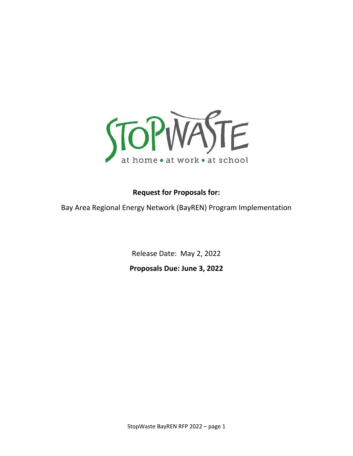

# **Request for Proposals for:**

Bay Area Regional Energy Network (BayREN) Program Implementation

Release Date: May 2, 2022 **Proposals Due: June 3, 2022**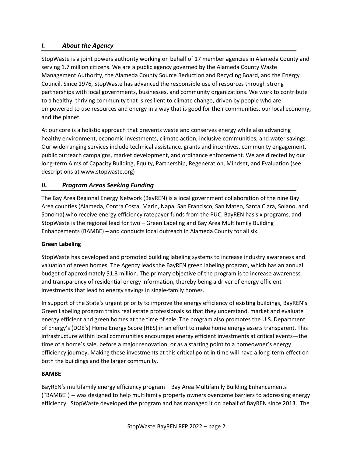# *I. About the Agency*

StopWaste is a joint powers authority working on behalf of 17 member agencies in Alameda County and serving 1.7 million citizens. We are a public agency governed by the Alameda County Waste Management Authority, the Alameda County Source Reduction and Recycling Board, and the Energy Council. Since 1976, StopWaste has advanced the responsible use of resources through strong partnerships with local governments, businesses, and community organizations. We work to contribute to a healthy, thriving community that is resilient to climate change, driven by people who are empowered to use resources and energy in a way that is good for their communities, our local economy, and the planet.

At our core is a holistic approach that prevents waste and conserves energy while also advancing healthy environment, economic investments, climate action, inclusive communities, and water savings. Our wide-ranging services include technical assistance, grants and incentives, community engagement, public outreach campaigns, market development, and ordinance enforcement. We are directed by our long-term Aims of Capacity Building, Equity, Partnership, Regeneration, Mindset, and Evaluation (see descriptions at www.stopwaste.org)

# *II. Program Areas Seeking Funding*

The Bay Area Regional Energy Network (BayREN) is a local government collaboration of the nine Bay Area counties (Alameda, Contra Costa, Marin, Napa, San Francisco, San Mateo, Santa Clara, Solano, and Sonoma) who receive energy efficiency ratepayer funds from the PUC. BayREN has six programs, and StopWaste is the regional lead for two – Green Labeling and Bay Area Multifamily Building Enhancements (BAMBE) – and conducts local outreach in Alameda County for all six.

## **Green Labeling**

StopWaste has developed and promoted building labeling systems to increase industry awareness and valuation of green homes. The Agency leads the BayREN green labeling program, which has an annual budget of approximately \$1.3 million. The primary objective of the program is to increase awareness and transparency of residential energy information, thereby being a driver of energy efficient investments that lead to energy savings in single-family homes.

In support of the State's urgent priority to improve the energy efficiency of existing buildings, BayREN's Green Labeling program trains real estate professionals so that they understand, market and evaluate energy efficient and green homes at the time of sale. The program also promotes the U.S. Department of Energy's (DOE's) Home Energy Score (HES) in an effort to make home energy assets transparent. This infrastructure within local communities encourages energy efficient investments at critical events—the time of a home's sale, before a major renovation, or as a starting point to a homeowner's energy efficiency journey. Making these investments at this critical point in time will have a long-term effect on both the buildings and the larger community.

#### **BAMBE**

BayREN's multifamily energy efficiency program – Bay Area Multifamily Building Enhancements ("BAMBE") -- was designed to help multifamily property owners overcome barriers to addressing energy efficiency. StopWaste developed the program and has managed it on behalf of BayREN since 2013. The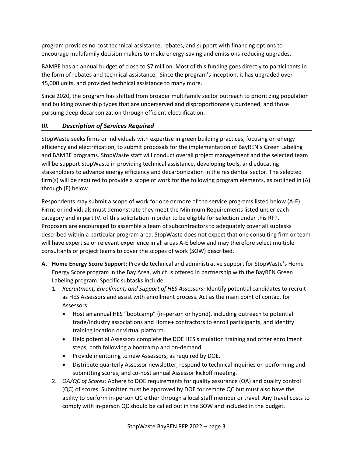program provides no-cost technical assistance, rebates, and support with financing options to encourage multifamily decision makers to make energy-saving and emissions-reducing upgrades.

BAMBE has an annual budget of close to \$7 million. Most of this funding goes directly to participants in the form of rebates and technical assistance. Since the program's inception, it has upgraded over 45,000 units, and provided technical assistance to many more.

Since 2020, the program has shifted from broader multifamily sector outreach to prioritizing population and building ownership types that are underserved and disproportionately burdened, and those pursuing deep decarbonization through efficient electrification.

# *III. Description of Services Required*

StopWaste seeks firms or individuals with expertise in green building practices, focusing on energy efficiency and electrification, to submit proposals for the implementation of BayREN's Green Labeling and BAMBE programs. StopWaste staff will conduct overall project management and the selected team will be support StopWaste in providing technical assistance, developing tools, and educating stakeholders to advance energy efficiency and decarbonization in the residential sector. The selected firm(s) will be required to provide a scope of work for the following program elements, as outlined in (A) through (E) below.

Respondents may submit a scope of work for one or more of the service programs listed below (A-E). Firms or individuals must demonstrate they meet the Minimum Requirements listed under each category and in part IV. of this solicitation in order to be eligible for selection under this RFP. Proposers are encouraged to assemble a team of subcontractors to adequately cover all subtasks described within a particular program area. StopWaste does not expect that one consulting firm or team will have expertise or relevant experience in all areas A-E below and may therefore select multiple consultants or project teams to cover the scopes of work (SOW) described.

- **A. Home Energy Score Support:** Provide technical and administrative support for StopWaste's Home Energy Score program in the Bay Area, which is offered in partnership with the BayREN Green Labeling program. Specific subtasks include:
	- 1. *Recruitment, Enrollment, and Support of HES Assessors:* Identify potential candidates to recruit as HES Assessors and assist with enrollment process. Act as the main point of contact for Assessors.
		- Host an annual HES "bootcamp" (in-person or hybrid), including outreach to potential trade/industry associations and Home+ contractors to enroll participants, and identify training location or virtual platform.
		- Help potential Assessors complete the DOE HES simulation training and other enrollment steps, both following a bootcamp and on-demand.
		- Provide mentoring to new Assessors, as required by DOE.
		- Distribute quarterly Assessor newsletter, respond to technical inquiries on performing and submitting scores, and co-host annual Assessor kickoff meeting.
	- 2. *QA/QC of Scores:* Adhere to DOE requirements for quality assurance (QA) and quality control (QC) of scores. Submitter must be approved by DOE for remote QC but must also have the ability to perform in-person QC either through a local staff member or travel. Any travel costs to comply with in-person QC should be called out in the SOW and included in the budget.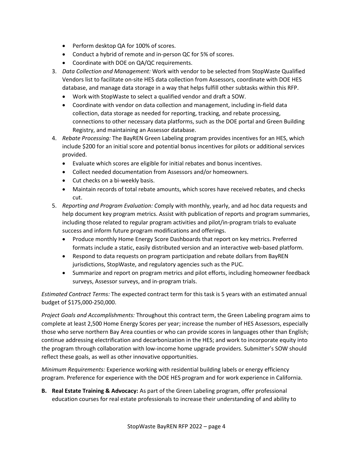- Perform desktop QA for 100% of scores.
- Conduct a hybrid of remote and in-person QC for 5% of scores.
- Coordinate with DOE on QA/QC requirements.
- 3. *Data Collection and Management:* Work with vendor to be selected from StopWaste Qualified Vendors list to facilitate on-site HES data collection from Assessors, coordinate with DOE HES database, and manage data storage in a way that helps fulfill other subtasks within this RFP.
	- Work with StopWaste to select a qualified vendor and draft a SOW.
	- Coordinate with vendor on data collection and management, including in-field data collection, data storage as needed for reporting, tracking, and rebate processing, connections to other necessary data platforms, such as the DOE portal and Green Building Registry, and maintaining an Assessor database.
- 4. *Rebate Processing:* The BayREN Green Labeling program provides incentives for an HES, which include \$200 for an initial score and potential bonus incentives for pilots or additional services provided.
	- Evaluate which scores are eligible for initial rebates and bonus incentives.
	- Collect needed documentation from Assessors and/or homeowners.
	- Cut checks on a bi-weekly basis.
	- Maintain records of total rebate amounts, which scores have received rebates, and checks cut.
- 5. *Reporting and Program Evaluation: C*omply with monthly, yearly, and ad hoc data requests and help document key program metrics. Assist with publication of reports and program summaries, including those related to regular program activities and pilot/in-program trials to evaluate success and inform future program modifications and offerings.
	- Produce monthly Home Energy Score Dashboards that report on key metrics. Preferred formats include a static, easily distributed version and an interactive web-based platform.
	- Respond to data requests on program participation and rebate dollars from BayREN jurisdictions, StopWaste, and regulatory agencies such as the PUC.
	- Summarize and report on program metrics and pilot efforts, including homeowner feedback surveys, Assessor surveys, and in-program trials.

*Estimated Contract Terms:* The expected contract term for this task is 5 years with an estimated annual budget of \$175,000-250,000.

*Project Goals and Accomplishments:* Throughout this contract term, the Green Labeling program aims to complete at least 2,500 Home Energy Scores per year; increase the number of HES Assessors, especially those who serve northern Bay Area counties or who can provide scores in languages other than English; continue addressing electrification and decarbonization in the HES; and work to incorporate equity into the program through collaboration with low-income home upgrade providers. Submitter's SOW should reflect these goals, as well as other innovative opportunities.

*Minimum Requirements:* Experience working with residential building labels or energy efficiency program. Preference for experience with the DOE HES program and for work experience in California.

**B. Real Estate Training & Advocacy:** As part of the Green Labeling program, offer professional education courses for real estate professionals to increase their understanding of and ability to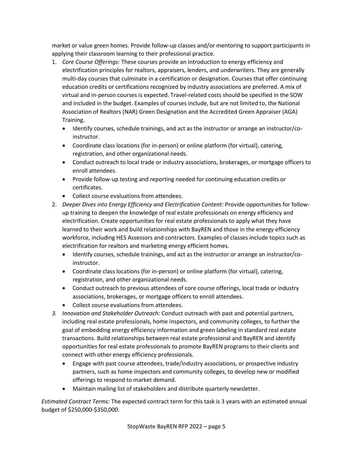market or value green homes. Provide follow-up classes and/or mentoring to support participants in applying their classroom learning to their professional practice.

- 1. *Core Course Offerings:* These courses provide an introduction to energy efficiency and electrification principles for realtors, appraisers, lenders, and underwriters. They are generally multi-day courses that culminate in a certification or designation. Courses that offer continuing education credits or certifications recognized by industry associations are preferred. A mix of virtual and in-person courses is expected. Travel-related costs should be specified in the SOW and included in the budget. Examples of courses include, but are not limited to, the National Association of Realtors (NAR) Green Designation and the Accredited Green Appraiser (AGA) Training.
	- Identify courses, schedule trainings, and act as the instructor or arrange an instructor/coinstructor.
	- Coordinate class locations (for in-person) or online platform (for virtual), catering, registration, and other organizational needs.
	- Conduct outreach to local trade or industry associations, brokerages, or mortgage officers to enroll attendees.
	- Provide follow-up testing and reporting needed for continuing education credits or certificates.
	- Collect course evaluations from attendees.
- 2. *Deeper Dives into Energy Efficiency and Electrification Content:* Provide opportunities for followup training to deepen the knowledge of real estate professionals on energy efficiency and electrification. Create opportunities for real estate professionals to apply what they have learned to their work and build relationships with BayREN and those in the energy efficiency workforce, including HES Assessors and contractors. Examples of classes include topics such as electrification for realtors and marketing energy efficient homes.
	- Identify courses, schedule trainings, and act as the instructor or arrange an instructor/coinstructor.
	- Coordinate class locations (for in-person) or online platform (for virtual), catering, registration, and other organizational needs.
	- Conduct outreach to previous attendees of core course offerings, local trade or industry associations, brokerages, or mortgage officers to enroll attendees.
	- Collect course evaluations from attendees.
- *3. Innovation and Stakeholder Outreach:* Conduct outreach with past and potential partners, including real estate professionals, home inspectors, and community colleges, to further the goal of embedding energy efficiency information and green labeling in standard real estate transactions. Build relationships between real estate professional and BayREN and identify opportunities for real estate professionals to promote BayREN programs to their clients and connect with other energy efficiency professionals.
	- Engage with past course attendees, trade/industry associations, or prospective industry partners, such as home inspectors and community colleges, to develop new or modified offerings to respond to market demand.
	- Maintain mailing list of stakeholders and distribute quarterly newsletter.

*Estimated Contract Terms:* The expected contract term for this task is 3 years with an estimated annual budget of \$250,000-\$350,000.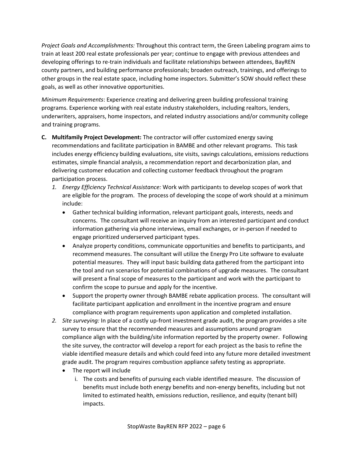*Project Goals and Accomplishments:* Throughout this contract term, the Green Labeling program aims to train at least 200 real estate professionals per year; continue to engage with previous attendees and developing offerings to re-train individuals and facilitate relationships between attendees, BayREN county partners, and building performance professionals; broaden outreach, trainings, and offerings to other groups in the real estate space, including home inspectors. Submitter's SOW should reflect these goals, as well as other innovative opportunities.

*Minimum Requirements*: Experience creating and delivering green building professional training programs. Experience working with real estate industry stakeholders, including realtors, lenders, underwriters, appraisers, home inspectors, and related industry associations and/or community college and training programs.

- **C. Multifamily Project Development:** The contractor will offer customized energy saving recommendations and facilitate participation in BAMBE and other relevant programs. This task includes energy efficiency building evaluations, site visits, savings calculations, emissions reductions estimates, simple financial analysis, a recommendation report and decarbonization plan, and delivering customer education and collecting customer feedback throughout the program participation process.
	- *1. Energy Efficiency Technical Assistance:* Work with participants to develop scopes of work that are eligible for the program. The process of developing the scope of work should at a minimum include:
		- Gather technical building information, relevant participant goals, interests, needs and concerns. The consultant will receive an inquiry from an interested participant and conduct information gathering via phone interviews, email exchanges, or in-person if needed to engage prioritized underserved participant types.
		- Analyze property conditions, communicate opportunities and benefits to participants, and recommend measures. The consultant will utilize the Energy Pro Lite software to evaluate potential measures. They will input basic building data gathered from the participant into the tool and run scenarios for potential combinations of upgrade measures. The consultant will present a final scope of measures to the participant and work with the participant to confirm the scope to pursue and apply for the incentive.
		- Support the property owner through BAMBE rebate application process. The consultant will facilitate participant application and enrollment in the incentive program and ensure compliance with program requirements upon application and completed installation.
	- *2. Site surveying:* In place of a costly up-front investment grade audit, the program provides a site survey to ensure that the recommended measures and assumptions around program compliance align with the building/site information reported by the property owner. Following the site survey, the contractor will develop a report for each project as the basis to refine the viable identified measure details and which could feed into any future more detailed investment grade audit. The program requires combustion appliance safety testing as appropriate.
		- The report will include
			- i. The costs and benefits of pursuing each viable identified measure. The discussion of benefits must include both energy benefits and non-energy benefits, including but not limited to estimated health, emissions reduction, resilience, and equity (tenant bill) impacts.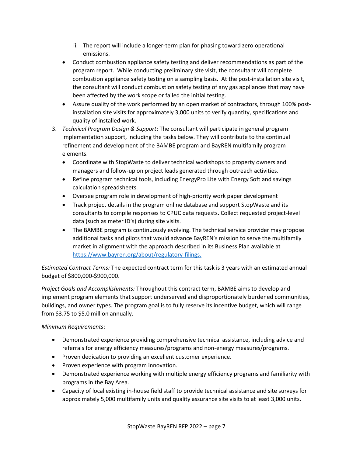- ii. The report will include a longer-term plan for phasing toward zero operational emissions.
- Conduct combustion appliance safety testing and deliver recommendations as part of the program report. While conducting preliminary site visit, the consultant will complete combustion appliance safety testing on a sampling basis. At the post-installation site visit, the consultant will conduct combustion safety testing of any gas appliances that may have been affected by the work scope or failed the initial testing.
- Assure quality of the work performed by an open market of contractors, through 100% postinstallation site visits for approximately 3,000 units to verify quantity, specifications and quality of installed work.
- 3. *Technical Program Design & Support*: The consultant will participate in general program implementation support, including the tasks below. They will contribute to the continual refinement and development of the BAMBE program and BayREN multifamily program elements.
	- Coordinate with StopWaste to deliver technical workshops to property owners and managers and follow-up on project leads generated through outreach activities.
	- Refine program technical tools, including EnergyPro Lite with Energy Soft and savings calculation spreadsheets.
	- Oversee program role in development of high-priority work paper development
	- Track project details in the program online database and support StopWaste and its consultants to compile responses to CPUC data requests. Collect requested project-level data (such as meter ID's) during site visits.
	- The BAMBE program is continuously evolving. The technical service provider may propose additional tasks and pilots that would advance BayREN's mission to serve the multifamily market in alignment with the approach described in its Business Plan available at <https://www.bayren.org/about/regulatory-filings.>

*Estimated Contract Terms:* The expected contract term for this task is 3 years with an estimated annual budget of \$800,000-\$900,000.

*Project Goals and Accomplishments:* Throughout this contract term, BAMBE aims to develop and implement program elements that support underserved and disproportionately burdened communities, buildings, and owner types. The program goal is to fully reserve its incentive budget, which will range from \$3.75 to \$5.0 million annually.

# *Minimum Requirements*:

- Demonstrated experience providing comprehensive technical assistance, including advice and referrals for energy efficiency measures/programs and non-energy measures/programs.
- Proven dedication to providing an excellent customer experience.
- Proven experience with program innovation.
- Demonstrated experience working with multiple energy efficiency programs and familiarity with programs in the Bay Area.
- Capacity of local existing in-house field staff to provide technical assistance and site surveys for approximately 5,000 multifamily units and quality assurance site visits to at least 3,000 units.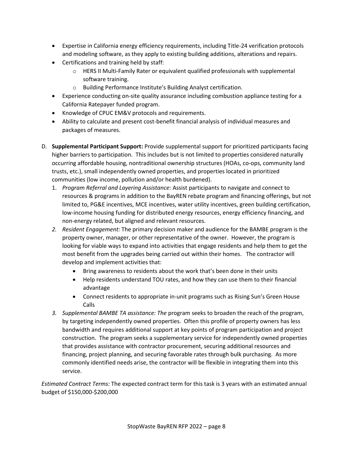- Expertise in California energy efficiency requirements, including Title-24 verification protocols and modeling software, as they apply to existing building additions, alterations and repairs.
- Certifications and training held by staff:
	- $\circ$  HERS II Multi-Family Rater or equivalent qualified professionals with supplemental software training.
	- o Building Performance Institute's Building Analyst certification.
- Experience conducting on-site quality assurance including combustion appliance testing for a California Ratepayer funded program.
- Knowledge of CPUC EM&V protocols and requirements.
- Ability to calculate and present cost-benefit financial analysis of individual measures and packages of measures.
- D. **Supplemental Participant Support:** Provide supplemental support for prioritized participants facing higher barriers to participation. This includes but is not limited to properties considered naturally occurring affordable housing, nontraditional ownership structures (HOAs, co-ops, community land trusts, etc.), small independently owned properties, and properties located in prioritized communities (low income, pollution and/or health burdened).
	- 1. *Program Referral and Layering Assistance:* Assist participants to navigate and connect to resources & programs in addition to the BayREN rebate program and financing offerings, but not limited to, PG&E incentives, MCE incentives, water utility incentives, green building certification, low-income housing funding for distributed energy resources, energy efficiency financing, and non-energy related, but aligned and relevant resources.
	- *2. Resident Engagement:* The primary decision maker and audience for the BAMBE program is the property owner, manager, or other representative of the owner. However, the program is looking for viable ways to expand into activities that engage residents and help them to get the most benefit from the upgrades being carried out within their homes. The contractor will develop and implement activities that:
		- Bring awareness to residents about the work that's been done in their units
		- Help residents understand TOU rates, and how they can use them to their financial advantage
		- Connect residents to appropriate in-unit programs such as Rising Sun's Green House Calls
	- *3. Supplemental BAMBE TA assistance: The* program seeks to broaden the reach of the program, by targeting independently owned properties. Often this profile of property owners has less bandwidth and requires additional support at key points of program participation and project construction. The program seeks a supplementary service for independently owned properties that provides assistance with contractor procurement, securing additional resources and financing, project planning, and securing favorable rates through bulk purchasing. As more commonly identified needs arise, the contractor will be flexible in integrating them into this service.

*Estimated Contract Terms:* The expected contract term for this task is 3 years with an estimated annual budget of \$150,000-\$200,000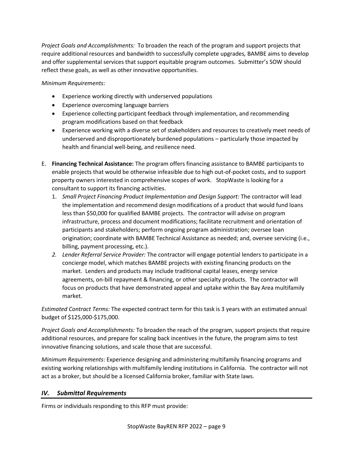*Project Goals and Accomplishments:* To broaden the reach of the program and support projects that require additional resources and bandwidth to successfully complete upgrades*,* BAMBE aims to develop and offer supplemental services that support equitable program outcomes. Submitter's SOW should reflect these goals, as well as other innovative opportunities.

### *Minimum Requirements*:

- Experience working directly with underserved populations
- Experience overcoming language barriers
- Experience collecting participant feedback through implementation, and recommending program modifications based on that feedback
- Experience working with a diverse set of stakeholders and resources to creatively meet needs of underserved and disproportionately burdened populations – particularly those impacted by health and financial well-being, and resilience need.
- E. **Financing Technical Assistance:** The program offers financing assistance to BAMBE participants to enable projects that would be otherwise infeasible due to high out-of-pocket costs, and to support property owners interested in comprehensive scopes of work. StopWaste is looking for a consultant to support its financing activities.
	- 1. *Small Project Financing Product Implementation and Design Support:* The contractor will lead the implementation and recommend design modifications of a product that would fund loans less than \$50,000 for qualified BAMBE projects. The contractor will advise on program infrastructure, process and document modifications; facilitate recruitment and orientation of participants and stakeholders; perform ongoing program administration; oversee loan origination; coordinate with BAMBE Technical Assistance as needed; and, oversee servicing (i.e., billing, payment processing, etc.).
	- *2. Lender Referral Service Provider:* The contractor will engage potential lenders to participate in a concierge model, which matches BAMBE projects with existing financing products on the market. Lenders and products may include traditional capital leases, energy service agreements, on-bill repayment & financing, or other specialty products. The contractor will focus on products that have demonstrated appeal and uptake within the Bay Area multifamily market.

*Estimated Contract Terms:* The expected contract term for this task is 3 years with an estimated annual budget of \$125,000-\$175,000.

*Project Goals and Accomplishments:* To broaden the reach of the program, support projects that require additional resources, and prepare for scaling back incentives in the future, the program aims to test innovative financing solutions, and scale those that are successful.

*Minimum Requirements*: Experience designing and administering multifamily financing programs and existing working relationships with multifamily lending institutions in California. The contractor will not act as a broker, but should be a licensed California broker, familiar with State laws.

## *IV. Submittal Requirements*

Firms or individuals responding to this RFP must provide: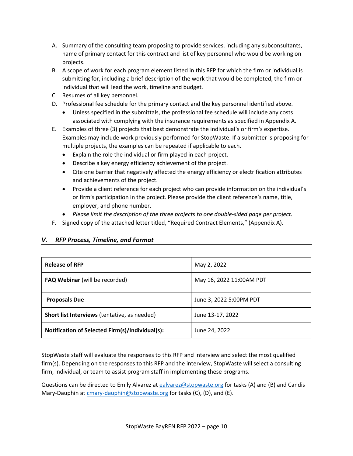- A. Summary of the consulting team proposing to provide services, including any subconsultants, name of primary contact for this contract and list of key personnel who would be working on projects.
- B. A scope of work for each program element listed in this RFP for which the firm or individual is submitting for, including a brief description of the work that would be completed, the firm or individual that will lead the work, timeline and budget.
- C. Resumes of all key personnel.
- D. Professional fee schedule for the primary contact and the key personnel identified above.
	- Unless specified in the submittals, the professional fee schedule will include any costs associated with complying with the insurance requirements as specified in Appendix A.
- E. Examples of three (3) projects that best demonstrate the individual's or firm's expertise. Examples may include work previously performed for StopWaste. If a submitter is proposing for multiple projects, the examples can be repeated if applicable to each.
	- Explain the role the individual or firm played in each project.
	- Describe a key energy efficiency achievement of the project.
	- Cite one barrier that negatively affected the energy efficiency or electrification attributes and achievements of the project.
	- Provide a client reference for each project who can provide information on the individual's or firm's participation in the project. Please provide the client reference's name, title, employer, and phone number.
	- *Please limit the description of the three projects to one double-sided page per project.*
- F. Signed copy of the attached letter titled, "Required Contract Elements," (Appendix A).

# *V. RFP Process, Timeline, and Format*

| <b>Release of RFP</b>                           | May 2, 2022              |
|-------------------------------------------------|--------------------------|
| <b>FAQ Webinar</b> (will be recorded)           | May 16, 2022 11:00AM PDT |
| <b>Proposals Due</b>                            | June 3, 2022 5:00PM PDT  |
| Short list Interviews (tentative, as needed)    | June 13-17, 2022         |
| Notification of Selected Firm(s)/Individual(s): | June 24, 2022            |

StopWaste staff will evaluate the responses to this RFP and interview and select the most qualified firm(s). Depending on the responses to this RFP and the interview, StopWaste will select a consulting firm, individual, or team to assist program staff in implementing these programs.

Questions can be directed to Emily Alvarez a[t ealvarez@stopwaste.org](mailto:ealvarez@stopwaste.org) for tasks (A) and (B) and Candis Mary-Dauphin a[t cmary-dauphin@stopwaste.org](mailto:cmary-dauphin@stopwaste.org) for tasks (C), (D), and (E).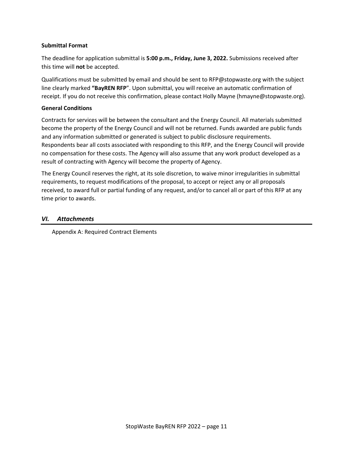#### **Submittal Format**

The deadline for application submittal is **5:00 p.m., Friday, June 3, 2022.** Submissions received after this time will **not** be accepted.

Qualifications must be submitted by email and should be sent to RFP@stopwaste.org with the subject line clearly marked **"BayREN RFP**". Upon submittal, you will receive an automatic confirmation of receipt. If you do not receive this confirmation, please contact Holly Mayne (hmayne@stopwaste.org).

#### **General Conditions**

Contracts for services will be between the consultant and the Energy Council. All materials submitted become the property of the Energy Council and will not be returned. Funds awarded are public funds and any information submitted or generated is subject to public disclosure requirements. Respondents bear all costs associated with responding to this RFP, and the Energy Council will provide no compensation for these costs. The Agency will also assume that any work product developed as a result of contracting with Agency will become the property of Agency.

The Energy Council reserves the right, at its sole discretion, to waive minor irregularities in submittal requirements, to request modifications of the proposal, to accept or reject any or all proposals received, to award full or partial funding of any request, and/or to cancel all or part of this RFP at any time prior to awards.

#### *VI. Attachments*

Appendix A: Required Contract Elements